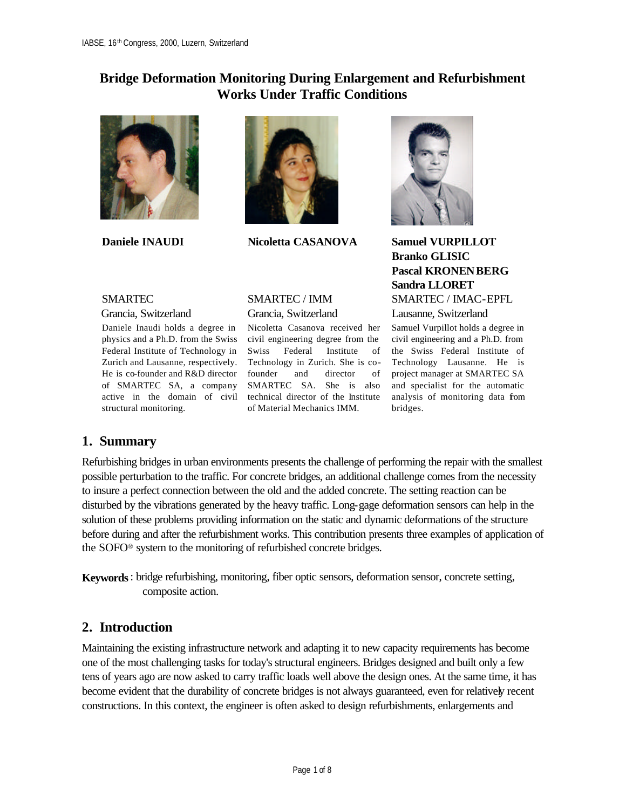## **Bridge Deformation Monitoring During Enlargement and Refurbishment Works Under Traffic Conditions**



**Daniele INAUDI**



**Nicoletta CASANOVA**

### SMARTEC

Grancia, Switzerland

Daniele Inaudi holds a degree in physics and a Ph.D. from the Swiss Federal Institute of Technology in He is co-founder and R&D director of SMARTEC SA, a company SMARTEC SA. She is also active in the domain of civil technical director of the Institute structural monitoring.

### SMARTEC / IMM Grancia, Switzerland

Zurich and Lausanne, respectively. Technology in Zurich. She is co-Technology Lausanne. He is Nicoletta Casanova received her civil engineering degree from the Swiss Federal Institute of the Swiss Federal Institute of of Material Mechanics IMM.



**Samuel VURPILLOT Branko GLISIC Pascal KRONENBERG Sandra LLORET** SMARTEC / IMAC-EPFL

Lausanne, Switzerland

founder and director of project manager at SMARTEC SA Samuel Vurpillot holds a degree in civil engineering and a Ph.D. from and specialist for the automatic analysis of monitoring data from bridges.

### **1. Summary**

Refurbishing bridges in urban environments presents the challenge of performing the repair with the smallest possible perturbation to the traffic. For concrete bridges, an additional challenge comes from the necessity to insure a perfect connection between the old and the added concrete. The setting reaction can be disturbed by the vibrations generated by the heavy traffic. Long-gage deformation sensors can help in the solution of these problems providing information on the static and dynamic deformations of the structure before during and after the refurbishment works. This contribution presents three examples of application of the SOFO® system to the monitoring of refurbished concrete bridges.

**Keywords**: bridge refurbishing, monitoring, fiber optic sensors, deformation sensor, concrete setting, composite action.

### **2. Introduction**

Maintaining the existing infrastructure network and adapting it to new capacity requirements has become one of the most challenging tasks for today's structural engineers. Bridges designed and built only a few tens of years ago are now asked to carry traffic loads well above the design ones. At the same time, it has become evident that the durability of concrete bridges is not always guaranteed, even for relatively recent constructions. In this context, the engineer is often asked to design refurbishments, enlargements and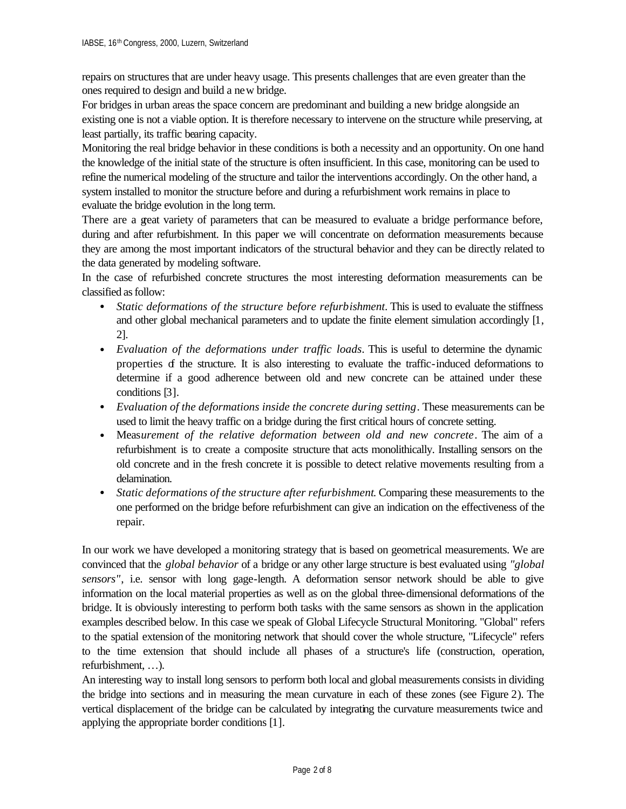repairs on structures that are under heavy usage. This presents challenges that are even greater than the ones required to design and build a new bridge.

For bridges in urban areas the space concern are predominant and building a new bridge alongside an existing one is not a viable option. It is therefore necessary to intervene on the structure while preserving, at least partially, its traffic bearing capacity.

Monitoring the real bridge behavior in these conditions is both a necessity and an opportunity. On one hand the knowledge of the initial state of the structure is often insufficient. In this case, monitoring can be used to refine the numerical modeling of the structure and tailor the interventions accordingly. On the other hand, a system installed to monitor the structure before and during a refurbishment work remains in place to evaluate the bridge evolution in the long term.

There are a great variety of parameters that can be measured to evaluate a bridge performance before, during and after refurbishment. In this paper we will concentrate on deformation measurements because they are among the most important indicators of the structural behavior and they can be directly related to the data generated by modeling software.

In the case of refurbished concrete structures the most interesting deformation measurements can be classified as follow:

- *Static deformations of the structure before refurbishment*. This is used to evaluate the stiffness and other global mechanical parameters and to update the finite element simulation accordingly [1, 2].
- *Evaluation of the deformations under traffic loads*. This is useful to determine the dynamic properties of the structure. It is also interesting to evaluate the traffic-induced deformations to determine if a good adherence between old and new concrete can be attained under these conditions [3].
- *Evaluation of the deformations inside the concrete during setting*. These measurements can be used to limit the heavy traffic on a bridge during the first critical hours of concrete setting.
- Meas*urement of the relative deformation between old and new concrete*. The aim of a refurbishment is to create a composite structure that acts monolithically. Installing sensors on the old concrete and in the fresh concrete it is possible to detect relative movements resulting from a delamination.
- *Static deformations of the structure after refurbishment*. Comparing these measurements to the one performed on the bridge before refurbishment can give an indication on the effectiveness of the repair.

In our work we have developed a monitoring strategy that is based on geometrical measurements. We are convinced that the *global behavior* of a bridge or any other large structure is best evaluated using *"global sensors*", i.e. sensor with long gage-length. A deformation sensor network should be able to give information on the local material properties as well as on the global three-dimensional deformations of the bridge. It is obviously interesting to perform both tasks with the same sensors as shown in the application examples described below. In this case we speak of Global Lifecycle Structural Monitoring. "Global" refers to the spatial extension of the monitoring network that should cover the whole structure, "Lifecycle" refers to the time extension that should include all phases of a structure's life (construction, operation, refurbishment, …).

An interesting way to install long sensors to perform both local and global measurements consists in dividing the bridge into sections and in measuring the mean curvature in each of these zones (see Figure 2). The vertical displacement of the bridge can be calculated by integrating the curvature measurements twice and applying the appropriate border conditions [1].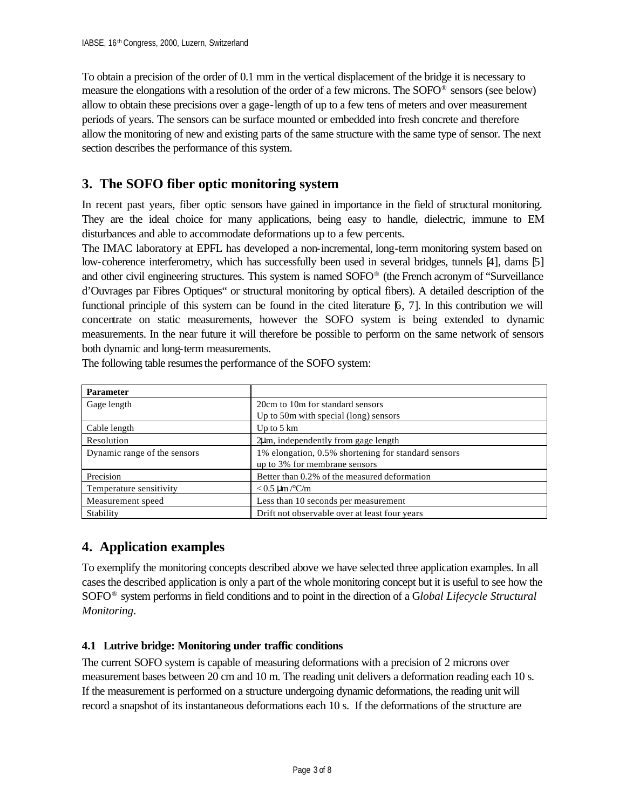To obtain a precision of the order of 0.1 mm in the vertical displacement of the bridge it is necessary to measure the elongations with a resolution of the order of a few microns. The SOFO® sensors (see below) allow to obtain these precisions over a gage-length of up to a few tens of meters and over measurement periods of years. The sensors can be surface mounted or embedded into fresh concrete and therefore allow the monitoring of new and existing parts of the same structure with the same type of sensor. The next section describes the performance of this system.

## **3. The SOFO fiber optic monitoring system**

In recent past years, fiber optic sensors have gained in importance in the field of structural monitoring. They are the ideal choice for many applications, being easy to handle, dielectric, immune to EM disturbances and able to accommodate deformations up to a few percents.

The IMAC laboratory at EPFL has developed a non-incremental, long-term monitoring system based on low-coherence interferometry, which has successfully been used in several bridges, tunnels [4], dams [5] and other civil engineering structures. This system is named SOFO® (the French acronym of "Surveillance d'Ouvrages par Fibres Optiques" or structural monitoring by optical fibers). A detailed description of the functional principle of this system can be found in the cited literature [6, 7]. In this contribution we will concentrate on static measurements, however the SOFO system is being extended to dynamic measurements. In the near future it will therefore be possible to perform on the same network of sensors both dynamic and long-term measurements.

| <b>Parameter</b>             |                                                     |
|------------------------------|-----------------------------------------------------|
| Gage length                  | 20cm to 10m for standard sensors                    |
|                              | Up to 50m with special (long) sensors               |
| Cable length                 | Up to $5 \text{ km}$                                |
| Resolution                   | $2\mu$ m, independently from gage length            |
| Dynamic range of the sensors | 1% elongation, 0.5% shortening for standard sensors |
|                              | up to 3% for membrane sensors                       |
| Precision                    | Better than 0.2% of the measured deformation        |
| Temperature sensitivity      | $< 0.5 \mu m / ^{\circ}C/m$                         |
| Measurement speed            | Less than 10 seconds per measurement                |
| Stability                    | Drift not observable over at least four years       |

The following table resumes the performance of the SOFO system:

## **4. Application examples**

To exemplify the monitoring concepts described above we have selected three application examples. In all cases the described application is only a part of the whole monitoring concept but it is useful to see how the SOFO® system performs in field conditions and to point in the direction of a G*lobal Lifecycle Structural Monitoring*.

### **4.1 Lutrive bridge: Monitoring under traffic conditions**

The current SOFO system is capable of measuring deformations with a precision of 2 microns over measurement bases between 20 cm and 10 m. The reading unit delivers a deformation reading each 10 s. If the measurement is performed on a structure undergoing dynamic deformations, the reading unit will record a snapshot of its instantaneous deformations each 10 s. If the deformations of the structure are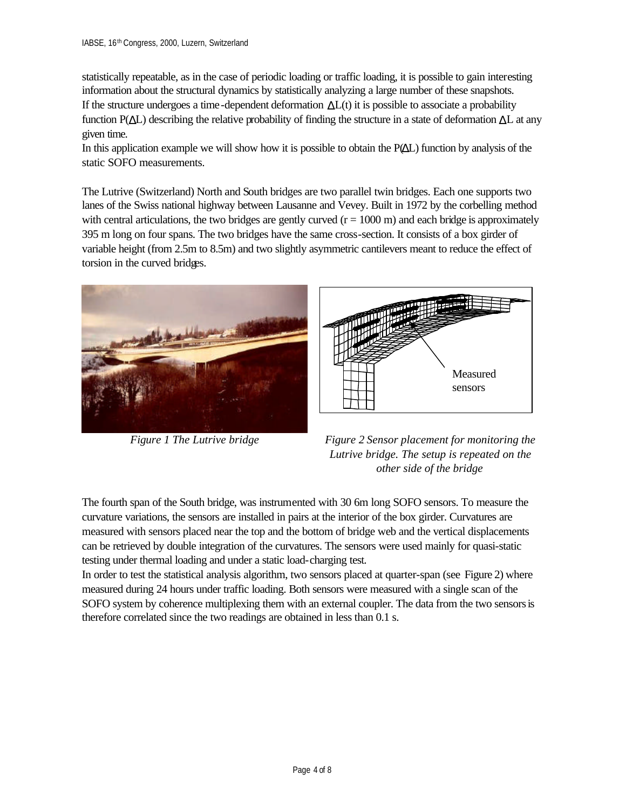statistically repeatable, as in the case of periodic loading or traffic loading, it is possible to gain interesting information about the structural dynamics by statistically analyzing a large number of these snapshots. If the structure undergoes a time-dependent deformation  $\Delta L(t)$  it is possible to associate a probability function  $P(\Delta L)$  describing the relative probability of finding the structure in a state of deformation  $\Delta L$  at any given time.

In this application example we will show how it is possible to obtain the P(ΔL) function by analysis of the static SOFO measurements.

The Lutrive (Switzerland) North and South bridges are two parallel twin bridges. Each one supports two lanes of the Swiss national highway between Lausanne and Vevey. Built in 1972 by the corbelling method with central articulations, the two bridges are gently curved  $(r = 1000 \text{ m})$  and each bridge is approximately 395 m long on four spans. The two bridges have the same cross-section. It consists of a box girder of variable height (from 2.5m to 8.5m) and two slightly asymmetric cantilevers meant to reduce the effect of torsion in the curved bridges.





*Figure 1 The Lutrive bridge Figure 2 Sensor placement for monitoring the Lutrive bridge. The setup is repeated on the other side of the bridge*

The fourth span of the South bridge, was instrumented with 30 6m long SOFO sensors. To measure the curvature variations, the sensors are installed in pairs at the interior of the box girder. Curvatures are measured with sensors placed near the top and the bottom of bridge web and the vertical displacements can be retrieved by double integration of the curvatures. The sensors were used mainly for quasi-static testing under thermal loading and under a static load-charging test.

In order to test the statistical analysis algorithm, two sensors placed at quarter-span (see Figure 2) where measured during 24 hours under traffic loading. Both sensors were measured with a single scan of the SOFO system by coherence multiplexing them with an external coupler. The data from the two sensors is therefore correlated since the two readings are obtained in less than 0.1 s.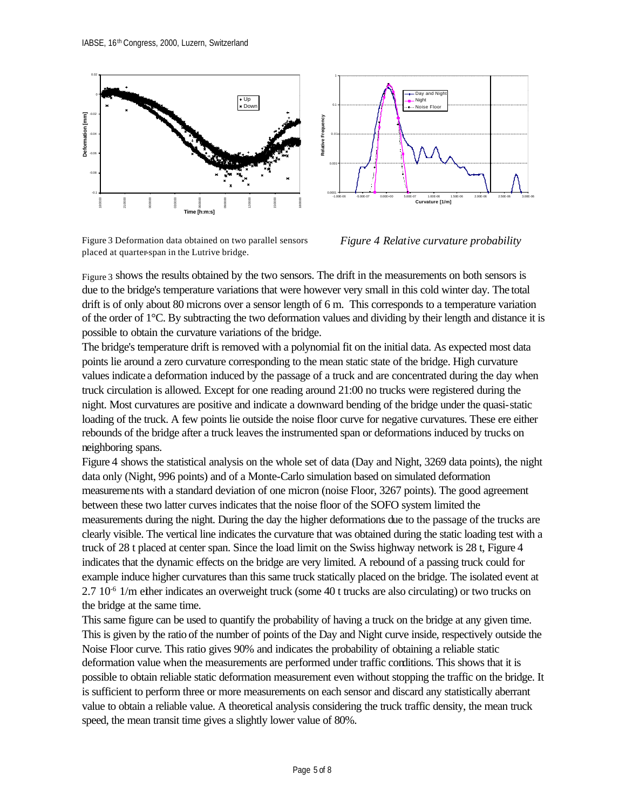

Figure 3 Deformation data obtained on two parallel sensors placed at quarter-span in the Lutrive bridge.



*Figure 4 Relative curvature probability*

Figure 3 shows the results obtained by the two sensors. The drift in the measurements on both sensors is due to the bridge's temperature variations that were however very small in this cold winter day. The total drift is of only about 80 microns over a sensor length of 6 m. This corresponds to a temperature variation of the order of 1°C. By subtracting the two deformation values and dividing by their length and distance it is possible to obtain the curvature variations of the bridge.

The bridge's temperature drift is removed with a polynomial fit on the initial data. As expected most data points lie around a zero curvature corresponding to the mean static state of the bridge. High curvature values indicate a deformation induced by the passage of a truck and are concentrated during the day when truck circulation is allowed. Except for one reading around 21:00 no trucks were registered during the night. Most curvatures are positive and indicate a downward bending of the bridge under the quasi-static loading of the truck. A few points lie outside the noise floor curve for negative curvatures. These ere either rebounds of the bridge after a truck leaves the instrumented span or deformations induced by trucks on neighboring spans.

Figure 4 shows the statistical analysis on the whole set of data (Day and Night, 3269 data points), the night data only (Night, 996 points) and of a Monte-Carlo simulation based on simulated deformation measurements with a standard deviation of one micron (noise Floor, 3267 points). The good agreement between these two latter curves indicates that the noise floor of the SOFO system limited the measurements during the night. During the day the higher deformations due to the passage of the trucks are clearly visible. The vertical line indicates the curvature that was obtained during the static loading test with a truck of 28 t placed at center span. Since the load limit on the Swiss highway network is 28 t, Figure 4 indicates that the dynamic effects on the bridge are very limited. A rebound of a passing truck could for example induce higher curvatures than this same truck statically placed on the bridge. The isolated event at 2.7 10-6 1/m either indicates an overweight truck (some 40 t trucks are also circulating) or two trucks on the bridge at the same time.

This same figure can be used to quantify the probability of having a truck on the bridge at any given time. This is given by the ratio of the number of points of the Day and Night curve inside, respectively outside the Noise Floor curve. This ratio gives 90% and indicates the probability of obtaining a reliable static deformation value when the measurements are performed under traffic conditions. This shows that it is possible to obtain reliable static deformation measurement even without stopping the traffic on the bridge. It is sufficient to perform three or more measurements on each sensor and discard any statistically aberrant value to obtain a reliable value. A theoretical analysis considering the truck traffic density, the mean truck speed, the mean transit time gives a slightly lower value of 80%.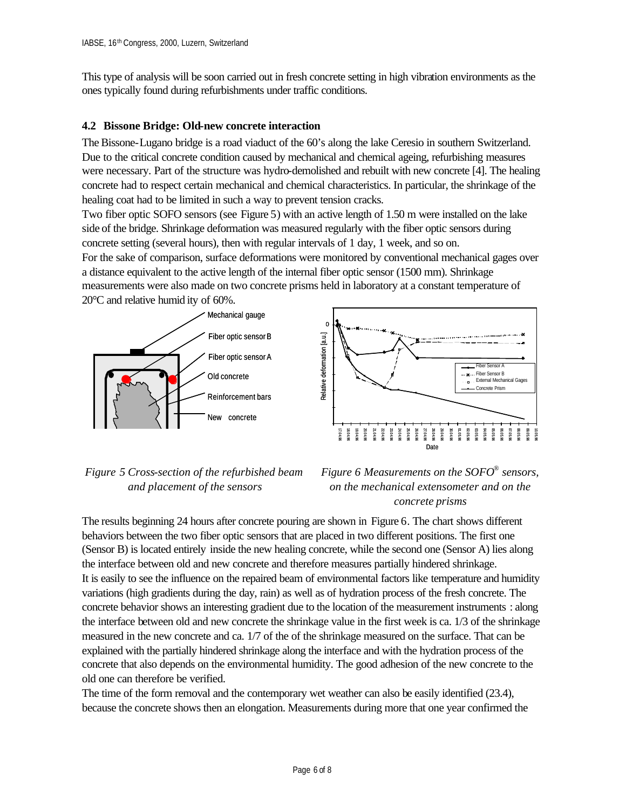This type of analysis will be soon carried out in fresh concrete setting in high vibration environments as the ones typically found during refurbishments under traffic conditions.

#### **4.2 Bissone Bridge: Old-new concrete interaction**

The Bissone-Lugano bridge is a road viaduct of the 60's along the lake Ceresio in southern Switzerland. Due to the critical concrete condition caused by mechanical and chemical ageing, refurbishing measures were necessary. Part of the structure was hydro-demolished and rebuilt with new concrete [4]. The healing concrete had to respect certain mechanical and chemical characteristics. In particular, the shrinkage of the healing coat had to be limited in such a way to prevent tension cracks.

Two fiber optic SOFO sensors (see Figure 5) with an active length of 1.50 m were installed on the lake side of the bridge. Shrinkage deformation was measured regularly with the fiber optic sensors during concrete setting (several hours), then with regular intervals of 1 day, 1 week, and so on.

For the sake of comparison, surface deformations were monitored by conventional mechanical gages over a distance equivalent to the active length of the internal fiber optic sensor (1500 mm). Shrinkage measurements were also made on two concrete prisms held in laboratory at a constant temperature of 20°C and relative humid ity of 60%.





### *Figure 5 Cross-section of the refurbished beam and placement of the sensors*

### *Figure 6 Measurements on the SOFO® sensors, on the mechanical extensometer and on the concrete prisms*

The results beginning 24 hours after concrete pouring are shown in Figure 6. The chart shows different behaviors between the two fiber optic sensors that are placed in two different positions. The first one (Sensor B) is located entirely inside the new healing concrete, while the second one (Sensor A) lies along the interface between old and new concrete and therefore measures partially hindered shrinkage. It is easily to see the influence on the repaired beam of environmental factors like temperature and humidity variations (high gradients during the day, rain) as well as of hydration process of the fresh concrete. The concrete behavior shows an interesting gradient due to the location of the measurement instruments : along the interface between old and new concrete the shrinkage value in the first week is ca. 1/3 of the shrinkage measured in the new concrete and ca. 1/7 of the of the shrinkage measured on the surface. That can be explained with the partially hindered shrinkage along the interface and with the hydration process of the concrete that also depends on the environmental humidity. The good adhesion of the new concrete to the old one can therefore be verified.

The time of the form removal and the contemporary wet weather can also be easily identified (23.4), because the concrete shows then an elongation. Measurements during more that one year confirmed the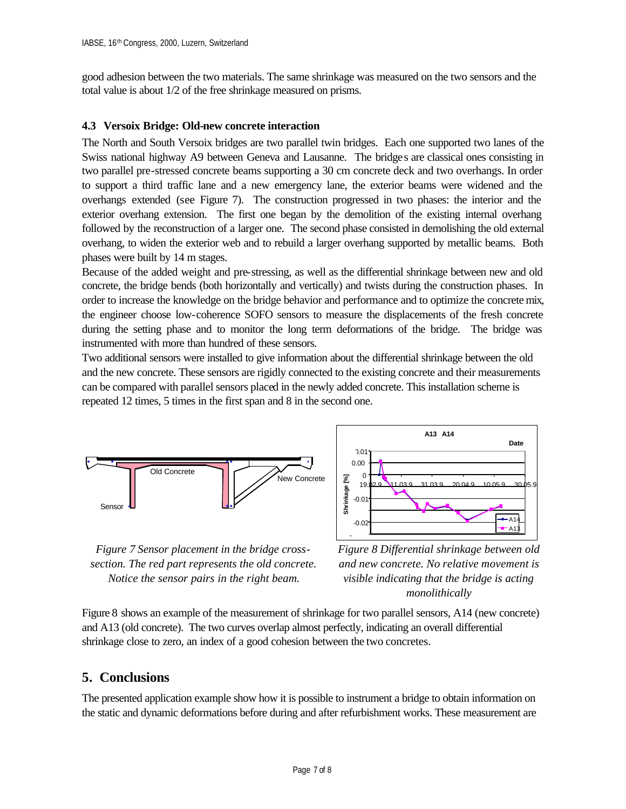good adhesion between the two materials. The same shrinkage was measured on the two sensors and the total value is about 1/2 of the free shrinkage measured on prisms.

#### **4.3 Versoix Bridge: Old-new concrete interaction**

The North and South Versoix bridges are two parallel twin bridges. Each one supported two lanes of the Swiss national highway A9 between Geneva and Lausanne. The bridges are classical ones consisting in two parallel pre-stressed concrete beams supporting a 30 cm concrete deck and two overhangs. In order to support a third traffic lane and a new emergency lane, the exterior beams were widened and the overhangs extended (see Figure 7). The construction progressed in two phases: the interior and the exterior overhang extension. The first one began by the demolition of the existing internal overhang followed by the reconstruction of a larger one. The second phase consisted in demolishing the old external overhang, to widen the exterior web and to rebuild a larger overhang supported by metallic beams. Both phases were built by 14 m stages.

Because of the added weight and pre-stressing, as well as the differential shrinkage between new and old concrete, the bridge bends (both horizontally and vertically) and twists during the construction phases. In order to increase the knowledge on the bridge behavior and performance and to optimize the concrete mix, the engineer choose low-coherence SOFO sensors to measure the displacements of the fresh concrete during the setting phase and to monitor the long term deformations of the bridge. The bridge was instrumented with more than hundred of these sensors.

Two additional sensors were installed to give information about the differential shrinkage between the old and the new concrete. These sensors are rigidly connected to the existing concrete and their measurements can be compared with parallel sensors placed in the newly added concrete. This installation scheme is repeated 12 times, 5 times in the first span and 8 in the second one.



*Figure 7 Sensor placement in the bridge crosssection. The red part represents the old concrete. Notice the sensor pairs in the right beam.*

0.025 *Figure 8 Differential shrinkage between old and new concrete. No relative movement is visible indicating that the bridge is acting monolithically*

Figure 8 shows an example of the measurement of shrinkage for two parallel sensors, A14 (new concrete) and A13 (old concrete). The two curves overlap almost perfectly, indicating an overall differential shrinkage close to zero, an index of a good cohesion between the two concretes.

#### **5. Conclusions**

The presented application example show how it is possible to instrument a bridge to obtain information on the static and dynamic deformations before during and after refurbishment works. These measurement are